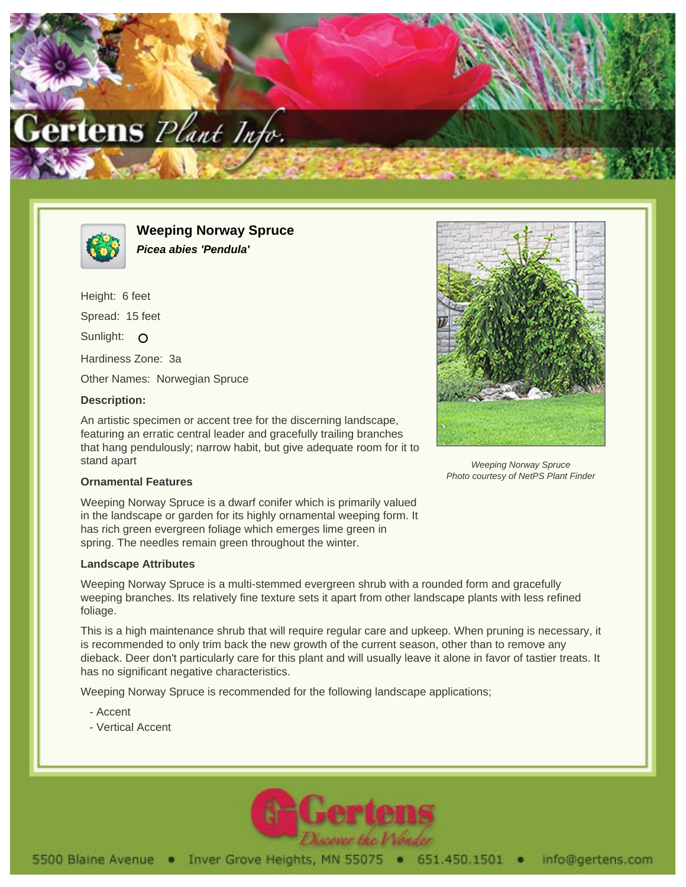



**Weeping Norway Spruce Picea abies 'Pendula'**

Height: 6 feet Spread: 15 feet Sunlight: O Hardiness Zone: 3a Other Names: Norwegian Spruce

## **Description:**

An artistic specimen or accent tree for the discerning landscape, featuring an erratic central leader and gracefully trailing branches that hang pendulously; narrow habit, but give adequate room for it to stand apart



Weeping Norway Spruce Photo courtesy of NetPS Plant Finder

## **Ornamental Features**

Weeping Norway Spruce is a dwarf conifer which is primarily valued in the landscape or garden for its highly ornamental weeping form. It has rich green evergreen foliage which emerges lime green in spring. The needles remain green throughout the winter.

## **Landscape Attributes**

Weeping Norway Spruce is a multi-stemmed evergreen shrub with a rounded form and gracefully weeping branches. Its relatively fine texture sets it apart from other landscape plants with less refined foliage.

This is a high maintenance shrub that will require regular care and upkeep. When pruning is necessary, it is recommended to only trim back the new growth of the current season, other than to remove any dieback. Deer don't particularly care for this plant and will usually leave it alone in favor of tastier treats. It has no significant negative characteristics.

Weeping Norway Spruce is recommended for the following landscape applications;

- Accent
- Vertical Accent